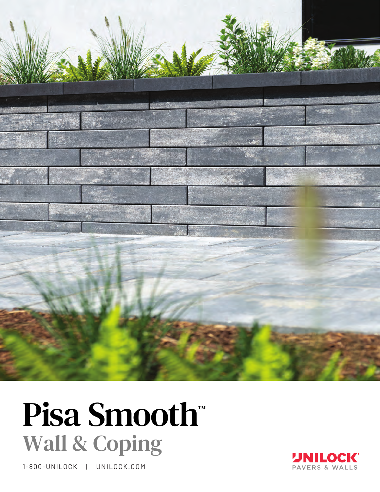

# Pisa Smooth ™ Wall & Coping

1-800-UNILOCK | UNILOCK.COM

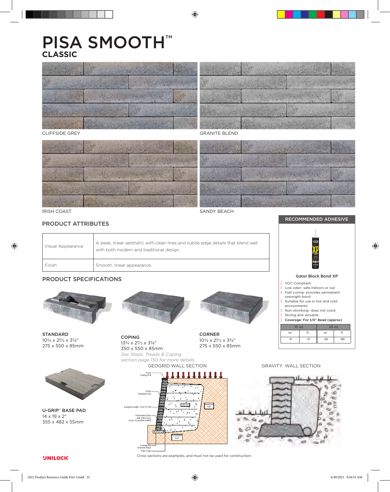# PISA SMOOTH™ **CLASSIC**



GRANITE BLEND

CLIFFSIDE GREY



# PRODUCT ATTRIBUTES

| Visual Appearance | A sleek, linear aesthetic with clean lines and subtle edge details that blend well<br>with both modern and traditional design. |  |
|-------------------|--------------------------------------------------------------------------------------------------------------------------------|--|
| Finish            | Smooth, linear appearance.                                                                                                     |  |

# PRODUCT SPECIFICATIONS



STANDARD 103/4 x 211/2 x 33/8" 275 x 550 x 85mm



U-GRIP™ BASE PAD 14 x 19 x 2" 355 x 482 x 55mm

**UNILOCK** 



*section page 150 for more details*

**COPING**  $13\frac{3}{4} \times 21\frac{1}{2} \times 3\frac{3}{8}$ " 350 x 550 x 85mm CORNER 103/4 x 211/2 x 33/8"

275 x 550 x 85mm



RECOMMENDED ADHESIVE

New orle

Design Specific Geometric Information



See Steps, Treads & Coping



Cross sections are examples, and must not be used for construction.

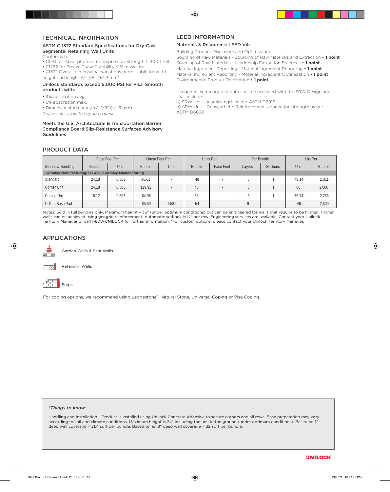#### TECHNICAL INFORMATION

#### ASTM C 1372 Standard Specifications for Dry-Cast Segmental Retaining Wall Units

- Conforms to:
- C140 for Absorption and Compressive Strength > 3000 PSI
- C1262 for Freeze Thaw Durability <1% mass loss
- C1372 Overall dimensional variations permissable for width, height and length  $+/- 1/8$ " ( $+/-3$  mm)

#### Unilock standards exceed 5,000 PSI for Pisa' Smooth products with:

- 4% absorption avg.
- 5% absorption max.

• Dimensional Accuracy +/- 1/8" (+/-3 mm)

*Test results available upon request*

#### Meets the U.S. Architectural & Transportation Barrier Compliance Board Slip-Resistance Surfaces Advisory Guidelines

# LEED INFORMATION

#### Materials & Resources: LEED V4:

Building Product Disclosure and Optimization

Sourcing of Raw Materials - Sourcing of Raw Materials and Extraction **• 1 point** Sourcing of Raw Materials - Leadership Extraction Practices **• 1 point** Material Ingredient Reporting - Material Ingredient Reporting **• 1 point** Material Ingredient Reporting - Material Ingredient Optimization **• 1 point** Environmental Product Declaration **• 1 point**

If required, summary test data shall be provided with the SRW Design and shall include: a) SRW Unit shear strength as per ASTM D6916

b) SRW Unit - Geosynthetic Reinforcement connection strength as per ASTM D6638

# PRODUCT DATA

|                                                              | Face Feet Per |       |               | Linear Feet Per |               | Units Per | Per Bundle   |                 |       | Lbs Per       |
|--------------------------------------------------------------|---------------|-------|---------------|-----------------|---------------|-----------|--------------|-----------------|-------|---------------|
| Stones & Bundling                                            | Bundle        | Unit  | <b>Bundle</b> | Unit            | <b>Bundle</b> | Face Feet | Layers       | <b>Sections</b> | Unit  | <b>Bundle</b> |
| <b>Gormley Manufacturing: U-Grip - Gormley Manufacturing</b> |               |       |               |                 |               |           |              |                 |       |               |
| Standard                                                     | 24.18         | 0.503 | 86.61         |                 | 48            |           | <sub>b</sub> |                 | 48.14 | 2,311         |
| Corner Unit                                                  | 24.18         | 0.503 | 129.92        |                 | 48            |           | b            |                 | 60    | 2,880         |
| Coping Unit                                                  | 18.12         | 0.503 | 64.96         |                 | 36            |           | b            |                 | 76.74 | 2.763         |
| U-Grip Base Pad                                              |               |       | 85.39         | 1.581           | 54            |           | O            |                 | 46    | 2,500         |

Notes: Sold in full bundles only. Maximum height – 36" (under optimum conditions) but can be engineered for walls that require to be higher. Higher walls can be achieved using geogrid reinforcement. Automatic setback is 34" per row. Engineering services are available. Contact your Unilock Territory Manager or call 1-800-UNILOCK for further information. \*For custom options, please contact your Unilock Territory Manager.

### APPLICATIONS



Garden Walls & Seat Walls



Steps

For coping options, we recommend using Ledgestone™, Natural Stone, Universal Coping or Pisa Coping.

#### *\*Things to know:*

Handling and Installation – Product is installed using Unilock Concrete Adhesive to secure corners and all rows. Base preparation may vary according to soil and climate conditions. Maximum height is 24" including the unit in the ground (under optimum conditions). Based on 12" deep wall coverage = 21.4 sqft per bundle. Based on an 8" deep wall coverage = 32 sqft per bundle.